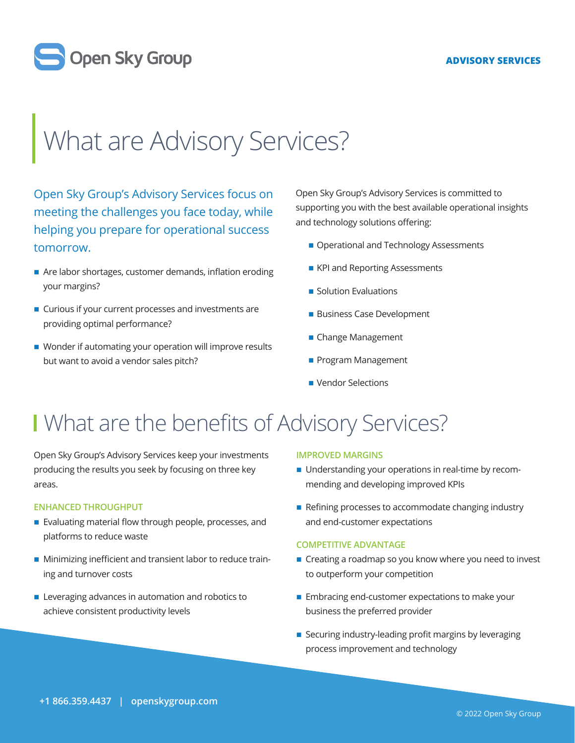#### **ADVISORY SERVICES**



# What are Advisory Services?

Open Sky Group's Advisory Services focus on meeting the challenges you face today, while helping you prepare for operational success tomorrow.

- Are labor shortages, customer demands, inflation eroding your margins?
- Curious if your current processes and investments are providing optimal performance?
- Wonder if automating your operation will improve results but want to avoid a vendor sales pitch?

Open Sky Group's Advisory Services is committed to supporting you with the best available operational insights and technology solutions offering:

- Operational and Technology Assessments
- **EXPI and Reporting Assessments**
- **Solution Evaluations**
- **Business Case Development**
- Change Management
- **Program Management**
- **Vendor Selections**

### I What are the benefits of Advisory Services?

Open Sky Group's Advisory Services keep your investments producing the results you seek by focusing on three key areas.

#### **ENHANCED THROUGHPUT**

- Evaluating material flow through people, processes, and platforms to reduce waste
- Minimizing inefficient and transient labor to reduce training and turnover costs
- **EXECUTE:** Leveraging advances in automation and robotics to achieve consistent productivity levels

#### **IMPROVED MARGINS**

- Understanding your operations in real-time by recommending and developing improved KPIs
- Refining processes to accommodate changing industry and end-customer expectations

#### **COMPETITIVE ADVANTAGE**

- Creating a roadmap so you know where you need to invest to outperform your competition
- Embracing end-customer expectations to make your business the preferred provider
- Securing industry-leading profit margins by leveraging process improvement and technology